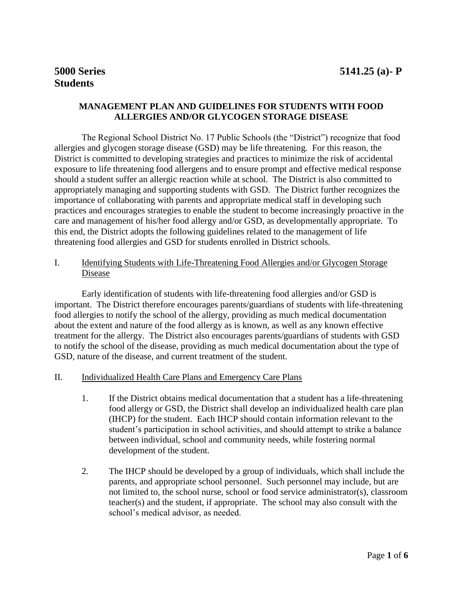# **MANAGEMENT PLAN AND GUIDELINES FOR STUDENTS WITH FOOD ALLERGIES AND/OR GLYCOGEN STORAGE DISEASE**

The Regional School District No. 17 Public Schools (the "District") recognize that food allergies and glycogen storage disease (GSD) may be life threatening. For this reason, the District is committed to developing strategies and practices to minimize the risk of accidental exposure to life threatening food allergens and to ensure prompt and effective medical response should a student suffer an allergic reaction while at school. The District is also committed to appropriately managing and supporting students with GSD. The District further recognizes the importance of collaborating with parents and appropriate medical staff in developing such practices and encourages strategies to enable the student to become increasingly proactive in the care and management of his/her food allergy and/or GSD, as developmentally appropriate. To this end, the District adopts the following guidelines related to the management of life threatening food allergies and GSD for students enrolled in District schools.

## I. Identifying Students with Life-Threatening Food Allergies and/or Glycogen Storage Disease

Early identification of students with life-threatening food allergies and/or GSD is important. The District therefore encourages parents/guardians of students with life-threatening food allergies to notify the school of the allergy, providing as much medical documentation about the extent and nature of the food allergy as is known, as well as any known effective treatment for the allergy. The District also encourages parents/guardians of students with GSD to notify the school of the disease, providing as much medical documentation about the type of GSD, nature of the disease, and current treatment of the student.

#### II. Individualized Health Care Plans and Emergency Care Plans

- 1. If the District obtains medical documentation that a student has a life-threatening food allergy or GSD, the District shall develop an individualized health care plan (IHCP) for the student. Each IHCP should contain information relevant to the student's participation in school activities, and should attempt to strike a balance between individual, school and community needs, while fostering normal development of the student.
- 2. The IHCP should be developed by a group of individuals, which shall include the parents, and appropriate school personnel. Such personnel may include, but are not limited to, the school nurse, school or food service administrator(s), classroom teacher(s) and the student, if appropriate. The school may also consult with the school's medical advisor, as needed.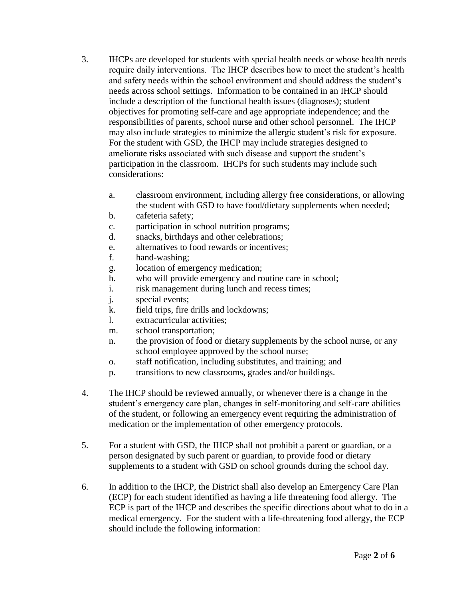- 3. IHCPs are developed for students with special health needs or whose health needs require daily interventions. The IHCP describes how to meet the student's health and safety needs within the school environment and should address the student's needs across school settings. Information to be contained in an IHCP should include a description of the functional health issues (diagnoses); student objectives for promoting self-care and age appropriate independence; and the responsibilities of parents, school nurse and other school personnel. The IHCP may also include strategies to minimize the allergic student's risk for exposure. For the student with GSD, the IHCP may include strategies designed to ameliorate risks associated with such disease and support the student's participation in the classroom. IHCPs for such students may include such considerations:
	- a. classroom environment, including allergy free considerations, or allowing the student with GSD to have food/dietary supplements when needed;
	- b. cafeteria safety;
	- c. participation in school nutrition programs;
	- d. snacks, birthdays and other celebrations;
	- e. alternatives to food rewards or incentives;
	- f. hand-washing;
	- g. location of emergency medication;
	- h. who will provide emergency and routine care in school;
	- i. risk management during lunch and recess times;
	- j. special events;
	- k. field trips, fire drills and lockdowns;
	- l. extracurricular activities;
	- m. school transportation;
	- n. the provision of food or dietary supplements by the school nurse, or any school employee approved by the school nurse;
	- o. staff notification, including substitutes, and training; and
	- p. transitions to new classrooms, grades and/or buildings.
- 4. The IHCP should be reviewed annually, or whenever there is a change in the student's emergency care plan, changes in self-monitoring and self-care abilities of the student, or following an emergency event requiring the administration of medication or the implementation of other emergency protocols.
- 5. For a student with GSD, the IHCP shall not prohibit a parent or guardian, or a person designated by such parent or guardian, to provide food or dietary supplements to a student with GSD on school grounds during the school day.
- 6. In addition to the IHCP, the District shall also develop an Emergency Care Plan (ECP) for each student identified as having a life threatening food allergy. The ECP is part of the IHCP and describes the specific directions about what to do in a medical emergency. For the student with a life-threatening food allergy, the ECP should include the following information: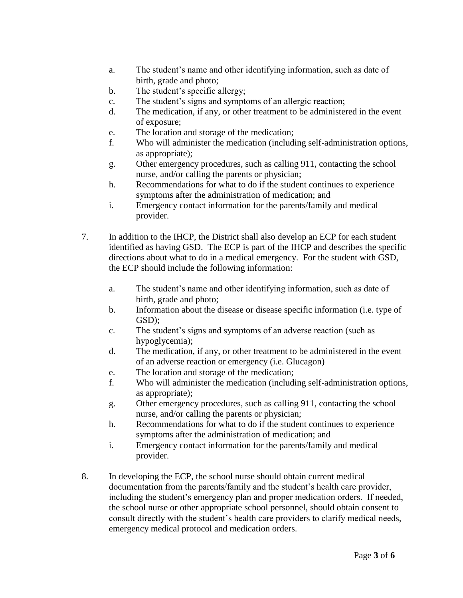- a. The student's name and other identifying information, such as date of birth, grade and photo;
- b. The student's specific allergy;
- c. The student's signs and symptoms of an allergic reaction;
- d. The medication, if any, or other treatment to be administered in the event of exposure;
- e. The location and storage of the medication;
- f. Who will administer the medication (including self-administration options, as appropriate);
- g. Other emergency procedures, such as calling 911, contacting the school nurse, and/or calling the parents or physician;
- h. Recommendations for what to do if the student continues to experience symptoms after the administration of medication; and
- i. Emergency contact information for the parents/family and medical provider.
- 7. In addition to the IHCP, the District shall also develop an ECP for each student identified as having GSD. The ECP is part of the IHCP and describes the specific directions about what to do in a medical emergency. For the student with GSD, the ECP should include the following information:
	- a. The student's name and other identifying information, such as date of birth, grade and photo;
	- b. Information about the disease or disease specific information (i.e. type of GSD);
	- c. The student's signs and symptoms of an adverse reaction (such as hypoglycemia);
	- d. The medication, if any, or other treatment to be administered in the event of an adverse reaction or emergency (i.e. Glucagon)
	- e. The location and storage of the medication;
	- f. Who will administer the medication (including self-administration options, as appropriate);
	- g. Other emergency procedures, such as calling 911, contacting the school nurse, and/or calling the parents or physician;
	- h. Recommendations for what to do if the student continues to experience symptoms after the administration of medication; and
	- i. Emergency contact information for the parents/family and medical provider.
- 8. In developing the ECP, the school nurse should obtain current medical documentation from the parents/family and the student's health care provider, including the student's emergency plan and proper medication orders. If needed, the school nurse or other appropriate school personnel, should obtain consent to consult directly with the student's health care providers to clarify medical needs, emergency medical protocol and medication orders.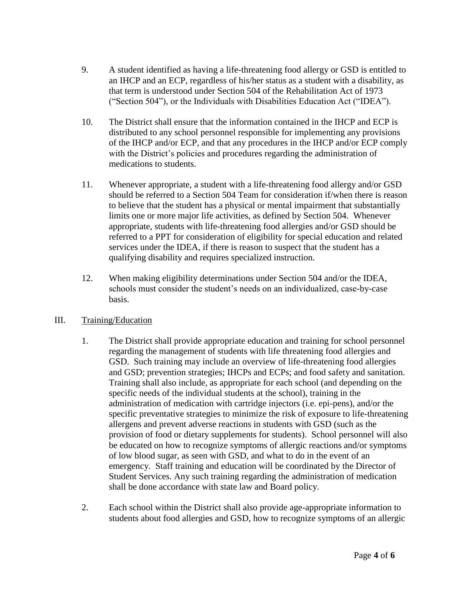- 9. A student identified as having a life-threatening food allergy or GSD is entitled to an IHCP and an ECP, regardless of his/her status as a student with a disability, as that term is understood under Section 504 of the Rehabilitation Act of 1973 ("Section 504"), or the Individuals with Disabilities Education Act ("IDEA").
- 10. The District shall ensure that the information contained in the IHCP and ECP is distributed to any school personnel responsible for implementing any provisions of the IHCP and/or ECP, and that any procedures in the IHCP and/or ECP comply with the District's policies and procedures regarding the administration of medications to students.
- 11. Whenever appropriate, a student with a life-threatening food allergy and/or GSD should be referred to a Section 504 Team for consideration if/when there is reason to believe that the student has a physical or mental impairment that substantially limits one or more major life activities, as defined by Section 504. Whenever appropriate, students with life-threatening food allergies and/or GSD should be referred to a PPT for consideration of eligibility for special education and related services under the IDEA, if there is reason to suspect that the student has a qualifying disability and requires specialized instruction.
- 12. When making eligibility determinations under Section 504 and/or the IDEA, schools must consider the student's needs on an individualized, case-by-case basis.

## III. Training/Education

- 1. The District shall provide appropriate education and training for school personnel regarding the management of students with life threatening food allergies and GSD. Such training may include an overview of life-threatening food allergies and GSD; prevention strategies; IHCPs and ECPs; and food safety and sanitation. Training shall also include, as appropriate for each school (and depending on the specific needs of the individual students at the school), training in the administration of medication with cartridge injectors (i.e. epi-pens), and/or the specific preventative strategies to minimize the risk of exposure to life-threatening allergens and prevent adverse reactions in students with GSD (such as the provision of food or dietary supplements for students). School personnel will also be educated on how to recognize symptoms of allergic reactions and/or symptoms of low blood sugar, as seen with GSD, and what to do in the event of an emergency. Staff training and education will be coordinated by the Director of Student Services. Any such training regarding the administration of medication shall be done accordance with state law and Board policy.
- 2. Each school within the District shall also provide age-appropriate information to students about food allergies and GSD, how to recognize symptoms of an allergic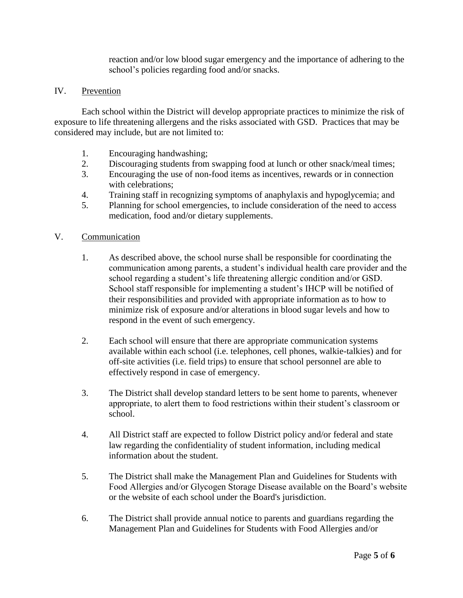reaction and/or low blood sugar emergency and the importance of adhering to the school's policies regarding food and/or snacks.

### IV. Prevention

Each school within the District will develop appropriate practices to minimize the risk of exposure to life threatening allergens and the risks associated with GSD. Practices that may be considered may include, but are not limited to:

- 1. Encouraging handwashing;<br>2. Discouraging students from
- Discouraging students from swapping food at lunch or other snack/meal times;
- 3. Encouraging the use of non-food items as incentives, rewards or in connection with celebrations:
- 4. Training staff in recognizing symptoms of anaphylaxis and hypoglycemia; and
- 5. Planning for school emergencies, to include consideration of the need to access medication, food and/or dietary supplements.

#### V. Communication

- 1. As described above, the school nurse shall be responsible for coordinating the communication among parents, a student's individual health care provider and the school regarding a student's life threatening allergic condition and/or GSD. School staff responsible for implementing a student's IHCP will be notified of their responsibilities and provided with appropriate information as to how to minimize risk of exposure and/or alterations in blood sugar levels and how to respond in the event of such emergency.
- 2. Each school will ensure that there are appropriate communication systems available within each school (i.e. telephones, cell phones, walkie-talkies) and for off-site activities (i.e. field trips) to ensure that school personnel are able to effectively respond in case of emergency.
- 3. The District shall develop standard letters to be sent home to parents, whenever appropriate, to alert them to food restrictions within their student's classroom or school.
- 4. All District staff are expected to follow District policy and/or federal and state law regarding the confidentiality of student information, including medical information about the student.
- 5. The District shall make the Management Plan and Guidelines for Students with Food Allergies and/or Glycogen Storage Disease available on the Board's website or the website of each school under the Board's jurisdiction.
- 6. The District shall provide annual notice to parents and guardians regarding the Management Plan and Guidelines for Students with Food Allergies and/or